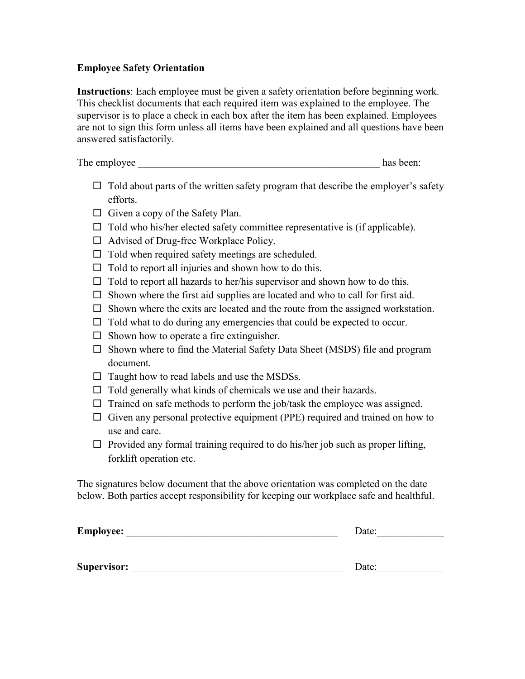#### **Employee Safety Orientation**

**Instructions**: Each employee must be given a safety orientation before beginning work. This checklist documents that each required item was explained to the employee. The supervisor is to place a check in each box after the item has been explained. Employees are not to sign this form unless all items have been explained and all questions have been answered satisfactorily.

The employee has been:

- $\Box$  Told about parts of the written safety program that describe the employer's safety efforts.
- $\Box$  Given a copy of the Safety Plan.
- $\Box$  Told who his/her elected safety committee representative is (if applicable).
- $\Box$  Advised of Drug-free Workplace Policy.
- $\Box$  Told when required safety meetings are scheduled.
- $\Box$  Told to report all injuries and shown how to do this.
- $\Box$  Told to report all hazards to her/his supervisor and shown how to do this.
- $\square$  Shown where the first aid supplies are located and who to call for first aid.
- $\square$  Shown where the exits are located and the route from the assigned workstation.
- $\Box$  Told what to do during any emergencies that could be expected to occur.
- $\Box$  Shown how to operate a fire extinguisher.
- $\square$  Shown where to find the Material Safety Data Sheet (MSDS) file and program document.
- $\Box$  Taught how to read labels and use the MSDSs.
- $\Box$  Told generally what kinds of chemicals we use and their hazards.
- $\Box$  Trained on safe methods to perform the job/task the employee was assigned.
- $\Box$  Given any personal protective equipment (PPE) required and trained on how to use and care.
- $\Box$  Provided any formal training required to do his/her job such as proper lifting, forklift operation etc.

The signatures below document that the above orientation was completed on the date below. Both parties accept responsibility for keeping our workplace safe and healthful.

| Employee:          | Date: |
|--------------------|-------|
|                    |       |
| <b>Supervisor:</b> | Date: |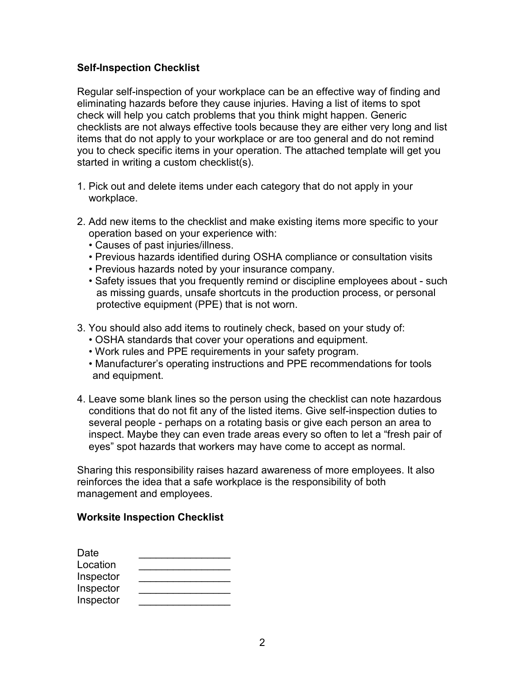### **Self-Inspection Checklist**

Regular self-inspection of your workplace can be an effective way of finding and eliminating hazards before they cause injuries. Having a list of items to spot check will help you catch problems that you think might happen. Generic checklists are not always effective tools because they are either very long and list items that do not apply to your workplace or are too general and do not remind you to check specific items in your operation. The attached template will get you started in writing a custom checklist(s).

- 1. Pick out and delete items under each category that do not apply in your workplace.
- 2. Add new items to the checklist and make existing items more specific to your operation based on your experience with:
	- Causes of past injuries/illness.
	- Previous hazards identified during OSHA compliance or consultation visits
	- Previous hazards noted by your insurance company.
	- Safety issues that you frequently remind or discipline employees about such as missing guards, unsafe shortcuts in the production process, or personal protective equipment (PPE) that is not worn.
- 3. You should also add items to routinely check, based on your study of:
	- OSHA standards that cover your operations and equipment.
	- Work rules and PPE requirements in your safety program.
	- Manufacturer's operating instructions and PPE recommendations for tools and equipment.
- 4. Leave some blank lines so the person using the checklist can note hazardous conditions that do not fit any of the listed items. Give self-inspection duties to several people - perhaps on a rotating basis or give each person an area to inspect. Maybe they can even trade areas every so often to let a "fresh pair of eyes" spot hazards that workers may have come to accept as normal.

Sharing this responsibility raises hazard awareness of more employees. It also reinforces the idea that a safe workplace is the responsibility of both management and employees.

#### **Worksite Inspection Checklist**

| Date      |  |
|-----------|--|
| Location  |  |
| Inspector |  |
| Inspector |  |
| Inspector |  |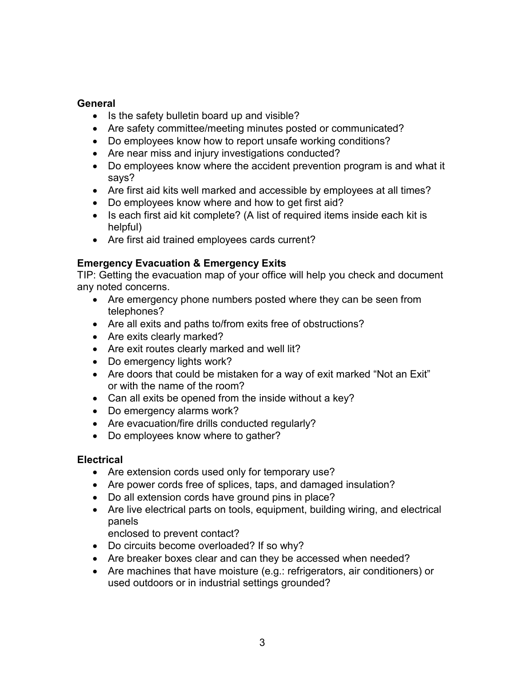### **General**

- Is the safety bulletin board up and visible?
- Are safety committee/meeting minutes posted or communicated?
- Do employees know how to report unsafe working conditions?
- Are near miss and injury investigations conducted?
- Do employees know where the accident prevention program is and what it says?
- Are first aid kits well marked and accessible by employees at all times?
- Do employees know where and how to get first aid?
- Is each first aid kit complete? (A list of required items inside each kit is helpful)
- Are first aid trained employees cards current?

# **Emergency Evacuation & Emergency Exits**

TIP: Getting the evacuation map of your office will help you check and document any noted concerns.

- Are emergency phone numbers posted where they can be seen from telephones?
- Are all exits and paths to/from exits free of obstructions?
- Are exits clearly marked?
- Are exit routes clearly marked and well lit?
- Do emergency lights work?
- Are doors that could be mistaken for a way of exit marked "Not an Exit" or with the name of the room?
- Can all exits be opened from the inside without a key?
- Do emergency alarms work?
- Are evacuation/fire drills conducted regularly?
- Do employees know where to gather?

# **Electrical**

- Are extension cords used only for temporary use?
- Are power cords free of splices, taps, and damaged insulation?
- Do all extension cords have ground pins in place?
- Are live electrical parts on tools, equipment, building wiring, and electrical panels

enclosed to prevent contact?

- Do circuits become overloaded? If so why?
- Are breaker boxes clear and can they be accessed when needed?
- Are machines that have moisture (e.g.: refrigerators, air conditioners) or used outdoors or in industrial settings grounded?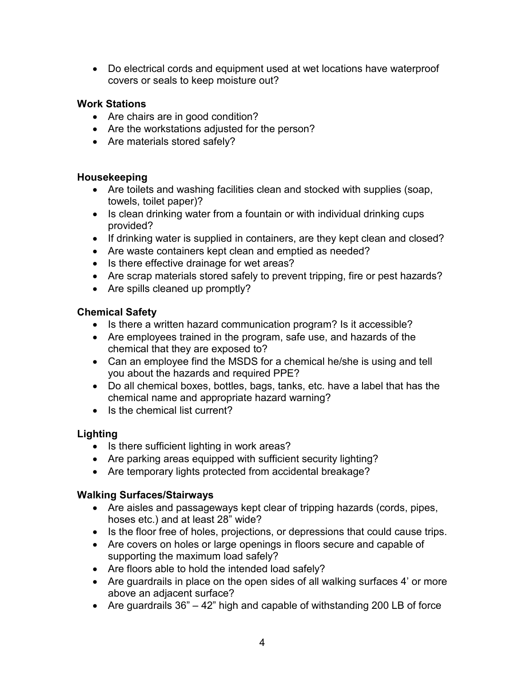• Do electrical cords and equipment used at wet locations have waterproof covers or seals to keep moisture out?

# **Work Stations**

- Are chairs are in good condition?
- Are the workstations adjusted for the person?
- Are materials stored safely?

### **Housekeeping**

- Are toilets and washing facilities clean and stocked with supplies (soap, towels, toilet paper)?
- Is clean drinking water from a fountain or with individual drinking cups provided?
- If drinking water is supplied in containers, are they kept clean and closed?
- Are waste containers kept clean and emptied as needed?
- Is there effective drainage for wet areas?
- Are scrap materials stored safely to prevent tripping, fire or pest hazards?
- Are spills cleaned up promptly?

#### **Chemical Safety**

- Is there a written hazard communication program? Is it accessible?
- Are employees trained in the program, safe use, and hazards of the chemical that they are exposed to?
- Can an employee find the MSDS for a chemical he/she is using and tell you about the hazards and required PPE?
- Do all chemical boxes, bottles, bags, tanks, etc. have a label that has the chemical name and appropriate hazard warning?
- Is the chemical list current?

# **Lighting**

- Is there sufficient lighting in work areas?
- Are parking areas equipped with sufficient security lighting?
- Are temporary lights protected from accidental breakage?

#### **Walking Surfaces/Stairways**

- Are aisles and passageways kept clear of tripping hazards (cords, pipes, hoses etc.) and at least 28" wide?
- Is the floor free of holes, projections, or depressions that could cause trips.
- Are covers on holes or large openings in floors secure and capable of supporting the maximum load safely?
- Are floors able to hold the intended load safely?
- Are guardrails in place on the open sides of all walking surfaces 4' or more above an adjacent surface?
- Are guardrails 36" 42" high and capable of withstanding 200 LB of force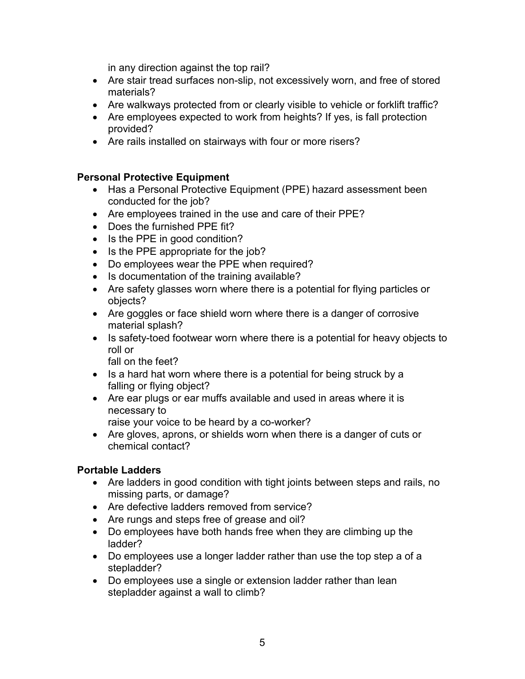in any direction against the top rail?

- Are stair tread surfaces non-slip, not excessively worn, and free of stored materials?
- Are walkways protected from or clearly visible to vehicle or forklift traffic?
- Are employees expected to work from heights? If yes, is fall protection provided?
- Are rails installed on stairways with four or more risers?

### **Personal Protective Equipment**

- Has a Personal Protective Equipment (PPE) hazard assessment been conducted for the job?
- Are employees trained in the use and care of their PPE?
- Does the furnished PPE fit?
- Is the PPE in good condition?
- Is the PPE appropriate for the job?
- Do employees wear the PPE when required?
- Is documentation of the training available?
- Are safety glasses worn where there is a potential for flying particles or objects?
- Are goggles or face shield worn where there is a danger of corrosive material splash?
- Is safety-toed footwear worn where there is a potential for heavy objects to roll or

fall on the feet?

- Is a hard hat worn where there is a potential for being struck by a falling or flying object?
- Are ear plugs or ear muffs available and used in areas where it is necessary to

raise your voice to be heard by a co-worker?

• Are gloves, aprons, or shields worn when there is a danger of cuts or chemical contact?

#### **Portable Ladders**

- Are ladders in good condition with tight joints between steps and rails, no missing parts, or damage?
- Are defective ladders removed from service?
- Are rungs and steps free of grease and oil?
- Do employees have both hands free when they are climbing up the ladder?
- Do employees use a longer ladder rather than use the top step a of a stepladder?
- Do employees use a single or extension ladder rather than lean stepladder against a wall to climb?